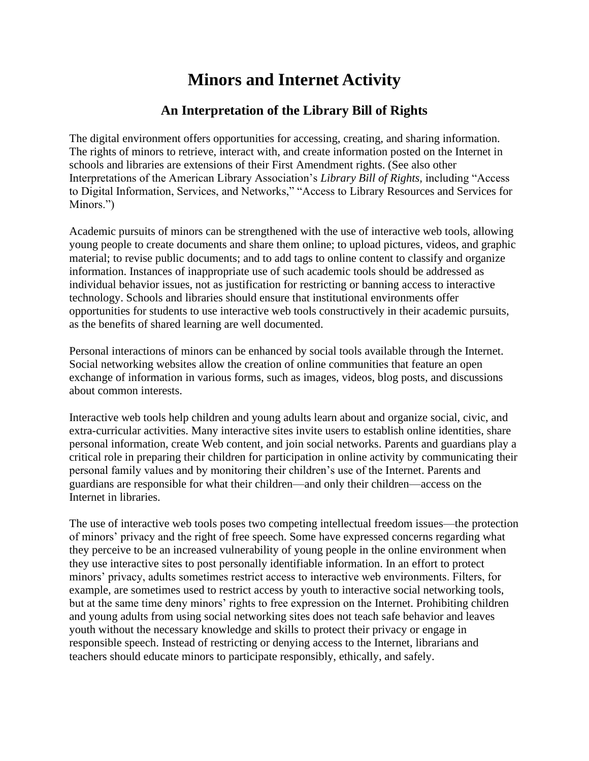## **Minors and Internet Activity**

## **An Interpretation of the Library Bill of Rights**

The digital environment offers opportunities for accessing, creating, and sharing information. The rights of minors to retrieve, interact with, and create information posted on the Internet in schools and libraries are extensions of their First Amendment rights. (See also other Interpretations of the American Library Association's *Library Bill of Rights,* including "Access to Digital Information, Services, and Networks," "Access to Library Resources and Services for Minors.")

Academic pursuits of minors can be strengthened with the use of interactive web tools, allowing young people to create documents and share them online; to upload pictures, videos, and graphic material; to revise public documents; and to add tags to online content to classify and organize information. Instances of inappropriate use of such academic tools should be addressed as individual behavior issues, not as justification for restricting or banning access to interactive technology. Schools and libraries should ensure that institutional environments offer opportunities for students to use interactive web tools constructively in their academic pursuits, as the benefits of shared learning are well documented.

Personal interactions of minors can be enhanced by social tools available through the Internet. Social networking websites allow the creation of online communities that feature an open exchange of information in various forms, such as images, videos, blog posts, and discussions about common interests.

Interactive web tools help children and young adults learn about and organize social, civic, and extra-curricular activities. Many interactive sites invite users to establish online identities, share personal information, create Web content, and join social networks. Parents and guardians play a critical role in preparing their children for participation in online activity by communicating their personal family values and by monitoring their children's use of the Internet. Parents and guardians are responsible for what their children—and only their children—access on the Internet in libraries.

The use of interactive web tools poses two competing intellectual freedom issues—the protection of minors' privacy and the right of free speech. Some have expressed concerns regarding what they perceive to be an increased vulnerability of young people in the online environment when they use interactive sites to post personally identifiable information. In an effort to protect minors' privacy, adults sometimes restrict access to interactive web environments. Filters, for example, are sometimes used to restrict access by youth to interactive social networking tools, but at the same time deny minors' rights to free expression on the Internet. Prohibiting children and young adults from using social networking sites does not teach safe behavior and leaves youth without the necessary knowledge and skills to protect their privacy or engage in responsible speech. Instead of restricting or denying access to the Internet, librarians and teachers should educate minors to participate responsibly, ethically, and safely.